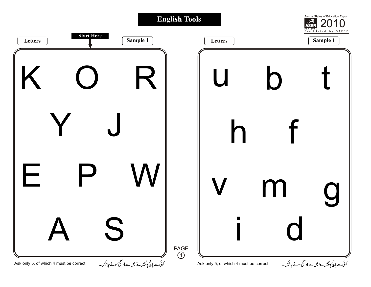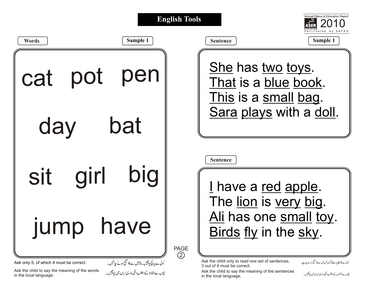|                                                                                                                    |                                                                                                    | <b>English Tools</b>         | Annual Status of Education Report                                                                                                                                                                                                                                                               |  |  |
|--------------------------------------------------------------------------------------------------------------------|----------------------------------------------------------------------------------------------------|------------------------------|-------------------------------------------------------------------------------------------------------------------------------------------------------------------------------------------------------------------------------------------------------------------------------------------------|--|--|
| <b>Words</b>                                                                                                       | Sample 1                                                                                           |                              | Sample 1<br><b>Sentence</b>                                                                                                                                                                                                                                                                     |  |  |
| cat pot                                                                                                            | pen                                                                                                |                              | <u>She</u> has <u>two</u> toys.<br>That is a blue book.<br>This is a small bag.                                                                                                                                                                                                                 |  |  |
| day                                                                                                                | bat                                                                                                |                              | Sara plays with a doll.                                                                                                                                                                                                                                                                         |  |  |
| girl<br><b>Sit</b>                                                                                                 | big                                                                                                |                              | <b>Sentence</b><br>I have a red apple.<br>The lion is very big.                                                                                                                                                                                                                                 |  |  |
| П<br><b>JUMP</b>                                                                                                   | nave                                                                                               | <b>PAGE</b><br>$\circled{2}$ | Ali has one small toy.<br>Birds fly in the sky.                                                                                                                                                                                                                                                 |  |  |
| Ask only 5, of which 4 must be correct.<br>Ask the child to say the meaning of the words<br>in the local language. | کوئی سے پانچ پوچھیں۔5میں سے 4منتیج ہونے جاہئیں۔<br>بچوں سےالفاظ کےمطلب انکی مادری زبان میں پوچھیں۔ |                              | Ask the child only to read one set of sentences,<br>کوئی ہے 4 <u>جملے پڑھنےکوکہیں</u> جن میں ہے 3 صحیح ہونے جاہے۔<br>3 out of 4 must be correct.<br>Ask the child to say the meaning of the sentences<br>بیچ <sub>ل</sub> سے جملوں کےمطلب انکی مادری زبان میں پوچھیں۔<br>in the local language. |  |  |

Ask the child to say the meaning of the sentences ب*چوں ہے جلوں کے مطلب آ*گی،اد*ری زب*ان میں *پیچیں ۔*<br>in the local language.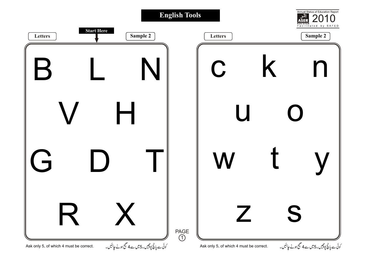